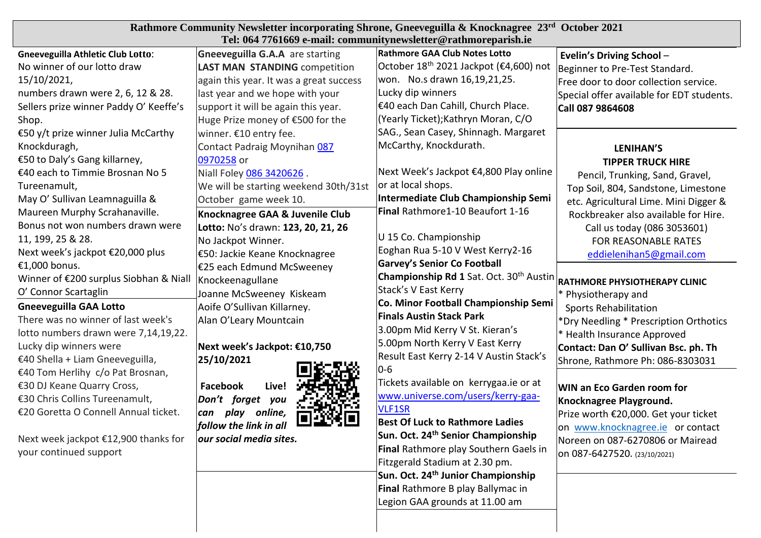| Rathmore Community Newsletter incorporating Shrone, Gneeveguilla & Knocknagree 23rd October 2021<br>Tel: 064 7761669 e-mail: communitynewsletter@rathmoreparish.ie                                                                                                                                                                                                                                                                                                                                                                                                           |                                                                                                                                                                                                                                                                                                                                                                                                                                                                                                                                                                                                                             |                                                                                                                                                                                                                                                                                                                                                                                                                                                                                                                                                                                                                      |                                                                                                                                                                                                                                                                                                                                                                                                                                                                                                                           |  |
|------------------------------------------------------------------------------------------------------------------------------------------------------------------------------------------------------------------------------------------------------------------------------------------------------------------------------------------------------------------------------------------------------------------------------------------------------------------------------------------------------------------------------------------------------------------------------|-----------------------------------------------------------------------------------------------------------------------------------------------------------------------------------------------------------------------------------------------------------------------------------------------------------------------------------------------------------------------------------------------------------------------------------------------------------------------------------------------------------------------------------------------------------------------------------------------------------------------------|----------------------------------------------------------------------------------------------------------------------------------------------------------------------------------------------------------------------------------------------------------------------------------------------------------------------------------------------------------------------------------------------------------------------------------------------------------------------------------------------------------------------------------------------------------------------------------------------------------------------|---------------------------------------------------------------------------------------------------------------------------------------------------------------------------------------------------------------------------------------------------------------------------------------------------------------------------------------------------------------------------------------------------------------------------------------------------------------------------------------------------------------------------|--|
| <b>Gneeveguilla Athletic Club Lotto:</b><br>No winner of our lotto draw<br>15/10/2021,<br>numbers drawn were 2, 6, 12 & 28.<br>Sellers prize winner Paddy O' Keeffe's<br>Shop.<br>€50 y/t prize winner Julia McCarthy<br>Knockduragh,<br>€50 to Daly's Gang killarney,<br>€40 each to Timmie Brosnan No 5<br>Tureenamult,<br>May O' Sullivan Leamnaguilla &<br>Maureen Murphy Scrahanaville.<br>Bonus not won numbers drawn were<br>11, 199, 25 & 28.<br>Next week's jackpot €20,000 plus<br>€1,000 bonus.<br>Winner of €200 surplus Siobhan & Niall<br>O' Connor Scartaglin | <b>Gneeveguilla G.A.A</b> are starting<br><b>LAST MAN STANDING competition</b><br>again this year. It was a great success<br>last year and we hope with your<br>support it will be again this year.<br>Huge Prize money of €500 for the<br>winner. €10 entry fee.<br>Contact Padraig Moynihan 087<br>0970258 or<br>Niall Foley 086 3420626.<br>We will be starting weekend 30th/31st<br>October game week 10.<br>Knocknagree GAA & Juvenile Club<br>Lotto: No's drawn: 123, 20, 21, 26<br>No Jackpot Winner.<br> €50: Jackie Keane Knocknagree<br>E25 each Edmund McSweeney<br>Knockeenagullane<br>Joanne McSweeney Kiskeam | Rathmore GAA Club Notes Lotto<br>October 18 <sup>th</sup> 2021 Jackpot (€4,600) not<br>won. No.s drawn 16,19,21,25.<br>Lucky dip winners<br>€40 each Dan Cahill, Church Place.<br>(Yearly Ticket); Kathryn Moran, C/O<br>SAG., Sean Casey, Shinnagh. Margaret<br>McCarthy, Knockdurath.<br>Next Week's Jackpot €4,800 Play online<br>or at local shops.<br>Intermediate Club Championship Semi<br>Final Rathmore1-10 Beaufort 1-16<br>U 15 Co. Championship<br>Eoghan Rua 5-10 V West Kerry2-16<br><b>Garvey's Senior Co Football</b><br>Championship Rd 1 Sat. Oct. 30 <sup>th</sup> Austin<br>Stack's V East Kerry | Evelin's Driving School-<br>Beginner to Pre-Test Standard.<br>Free door to door collection service.<br>Special offer available for EDT students.<br>Call 087 9864608<br><b>LENIHAN'S</b><br><b>TIPPER TRUCK HIRE</b><br>Pencil, Trunking, Sand, Gravel,<br>Top Soil, 804, Sandstone, Limestone<br>etc. Agricultural Lime. Mini Digger &<br>Rockbreaker also available for Hire.<br>Call us today (086 3053601)<br>FOR REASONABLE RATES<br>eddielenihan5@gmail.com<br>RATHMORE PHYSIOTHERAPY CLINIC<br>* Physiotherapy and |  |
| <b>Gneeveguilla GAA Lotto</b><br>There was no winner of last week's<br>lotto numbers drawn were 7,14,19,22.<br>Lucky dip winners were<br>€40 Shella + Liam Gneeveguilla,                                                                                                                                                                                                                                                                                                                                                                                                     | Aoife O'Sullivan Killarney.<br>Alan O'Leary Mountcain<br>Next week's Jackpot: €10,750<br>25/10/2021                                                                                                                                                                                                                                                                                                                                                                                                                                                                                                                         | Co. Minor Football Championship Semi<br><b>Finals Austin Stack Park</b><br>3.00pm Mid Kerry V St. Kieran's<br>5.00pm North Kerry V East Kerry<br>Result East Kerry 2-14 V Austin Stack's                                                                                                                                                                                                                                                                                                                                                                                                                             | <b>Sports Rehabilitation</b><br>*Dry Needling * Prescription Orthotics<br>* Health Insurance Approved<br>Contact: Dan O' Sullivan Bsc. ph. Th<br>Shrone, Rathmore Ph: 086-8303031                                                                                                                                                                                                                                                                                                                                         |  |
| €40 Tom Herlihy c/o Pat Brosnan,<br>€30 DJ Keane Quarry Cross,<br>€30 Chris Collins Tureenamult,<br>€20 Goretta O Connell Annual ticket.<br>Next week jackpot €12,900 thanks for<br>your continued support                                                                                                                                                                                                                                                                                                                                                                   | Live!<br>Facebook<br>Don't forget<br>you<br>online,<br>can<br>play<br>follow the link in all<br>our social media sites.                                                                                                                                                                                                                                                                                                                                                                                                                                                                                                     | $0 - 6$<br>Tickets available on kerrygaa.ie or at<br>www.universe.com/users/kerry-gaa-<br><b>VLF1SR</b><br><b>Best Of Luck to Rathmore Ladies</b><br>Sun. Oct. 24 <sup>th</sup> Senior Championship<br>Final Rathmore play Southern Gaels in<br>Fitzgerald Stadium at 2.30 pm.<br>Sun. Oct. 24 <sup>th</sup> Junior Championship<br>Final Rathmore B play Ballymac in<br>Legion GAA grounds at 11.00 am                                                                                                                                                                                                              | WIN an Eco Garden room for<br>Knocknagree Playground.<br>Prize worth €20,000. Get your ticket<br>on www.knocknagree.ie or contact<br>Noreen on 087-6270806 or Mairead<br>on 087-6427520. (23/10/2021)                                                                                                                                                                                                                                                                                                                     |  |